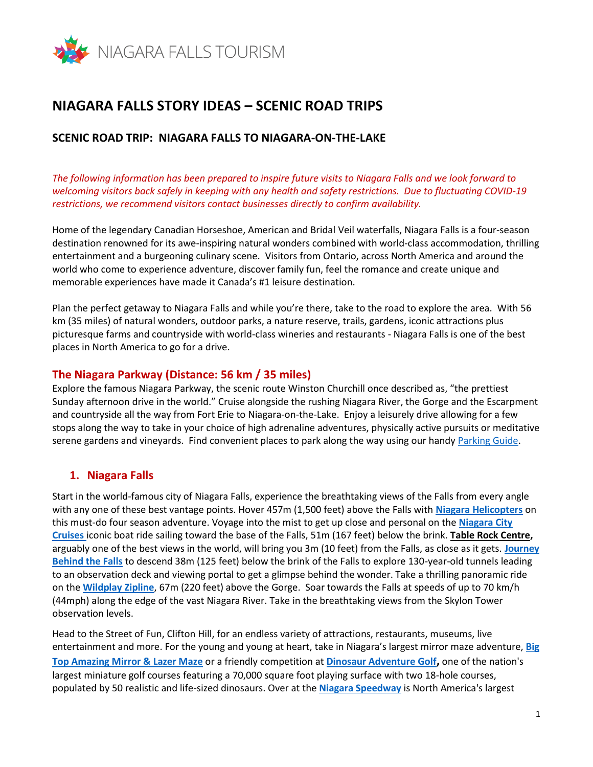

# **NIAGARA FALLS STORY IDEAS – SCENIC ROAD TRIPS**

#### **SCENIC ROAD TRIP: NIAGARA FALLS TO NIAGARA-ON-THE-LAKE**

*The following information has been prepared to inspire future visits to Niagara Falls and we look forward to welcoming visitors back safely in keeping with any health and safety restrictions. Due to fluctuating COVID-19 restrictions, we recommend visitors contact businesses directly to confirm availability.*

Home of the legendary Canadian Horseshoe, American and Bridal Veil waterfalls, Niagara Falls is a four-season destination renowned for its awe-inspiring natural wonders combined with world-class accommodation, thrilling entertainment and a burgeoning culinary scene. Visitors from Ontario, across North America and around the world who come to experience adventure, discover family fun, feel the romance and create unique and memorable experiences have made it Canada's #1 leisure destination.

Plan the perfect getaway to Niagara Falls and while you're there, take to the road to explore the area. With 56 km (35 miles) of natural wonders, outdoor parks, a nature reserve, trails, gardens, iconic attractions plus picturesque farms and countryside with world-class wineries and restaurants - Niagara Falls is one of the best places in North America to go for a drive.

#### **The Niagara Parkway (Distance: 56 km / 35 miles)**

Explore the famous Niagara Parkway, the scenic route Winston Churchill once described as, "the prettiest Sunday afternoon drive in the world." Cruise alongside the rushing Niagara River, the Gorge and the Escarpment and countryside all the way from Fort Erie to Niagara-on-the-Lake. Enjoy a leisurely drive allowing for a few stops along the way to take in your choice of high adrenaline adventures, physically active pursuits or meditative serene gardens and vineyards. Find convenient places to park along the way using our handy [Parking Guide.](https://www.niagarafallstourism.com/plan/parking/)

## **1. Niagara Falls**

Start in the world-famous city of Niagara Falls, experience the breathtaking views of the Falls from every angle with any one of these best vantage points. Hover 457m (1,500 feet) above the Falls with **[Niagara Helicopters](https://www.niagarafallstourism.com/play/falls-experiences/niagara-helicopters/)** on this must-do four season adventure. Voyage into the mist to get up close and personal on the **[Niagara](https://www.niagarafallstourism.com/play/falls-experiences/hornblower/) City [Cruises](https://www.niagarafallstourism.com/play/falls-experiences/hornblower/)** iconic boat ride sailing toward the base of the Falls, 51m (167 feet) below the brink. **Table Rock Centre,** arguably one of the best views in the world, will bring you 3m (10 feet) from the Falls, as close as it gets. **[Journey](https://www.niagarafallstourism.com/play/falls-experiences/journey-behind-the-falls/)  [Behind the Falls](https://www.niagarafallstourism.com/play/falls-experiences/journey-behind-the-falls/)** to descend 38m (125 feet) below the brink of the Falls to explore 130-year-old tunnels leading to an observation deck and viewing portal to get a glimpse behind the wonder. Take a thrilling panoramic ride on the **[Wildplay Zipline](https://www.niagarafallstourism.com/play/falls-experiences/wildplay-zipline-to-the-falls/)**, 67m (220 feet) above the Gorge. Soar towards the Falls at speeds of up to 70 km/h (44mph) along the edge of the vast Niagara River. Take in the breathtaking views from the [Skylon Tower](https://www.niagarafallstourism.com/play/falls-experiences/skylon-tower/) observation levels.

Head to the Street of Fun, Clifton Hill, for an endless variety of attractions, restaurants, museums, live entertainment and more. For the young and young at heart, take in Niagara's largest mirror maze adventure, **[Big](https://www.niagarafallstourism.com/play/attractions/big-top-mirror-laser-maze/)  [Top Amazing Mirror & Lazer Maze](https://www.niagarafallstourism.com/play/attractions/big-top-mirror-laser-maze/)** or a friendly competition at **[Dinosaur Adventure Golf](https://www.niagarafallstourism.com/play/attractions/dinosaur-adventure-golf/),** one of the nation's largest miniature golf courses featuring a 70,000 square foot playing surface with two 18-hole courses, populated by 50 realistic and life-sized dinosaurs. Over at the **[Niagara Speedway](https://www.niagarafallstourism.com/play/attractions/niagara-speedway/)** is North America's largest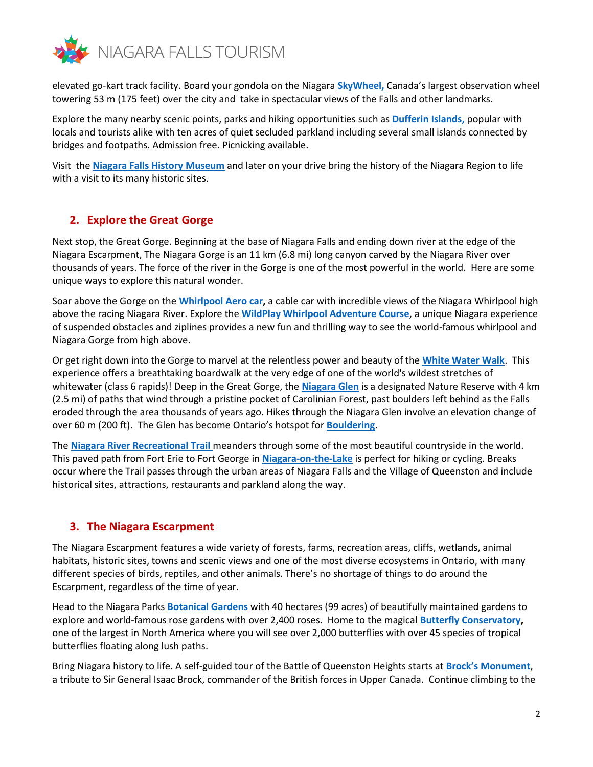

elevated go-kart track facility. Board your gondola on the Niagara **[SkyWheel,](https://www.niagarafallstourism.com/play/attractions/niagara-skywheel/)** Canada's largest observation wheel towering 53 m (175 feet) over the city and take in spectacular views of the Falls and other landmarks.

Explore the many nearby scenic points, parks and hiking opportunities such as **[Dufferin Islands,](https://www.niagarafallstourism.com/play/outdoor-recreation/dufferin-islands/)** popular with locals and tourists alike with ten acres of quiet secluded parkland including several small islands connected by bridges and footpaths. Admission free. Picnicking available.

Visit the **[Niagara Falls History Museum](https://niagarafallsmuseums.ca/visit/niagara-falls-history-museum.aspx)** and later on your drive bring the history of the Niagara Region to life with a visit to its many historic sites.

## **2. Explore the Great Gorge**

Next stop, the Great Gorge. Beginning at the base of Niagara Falls and ending down river at the edge of the Niagara Escarpment, The Niagara Gorge is an 11 km (6.8 mi) long canyon carved by the Niagara River over thousands of years. The force of the river in the Gorge is one of the most powerful in the world. Here are some unique ways to explore this natural wonder.

Soar above the Gorge on the **[Whirlpool Aero car,](https://www.niagarafallstourism.com/play/outdoor-recreation/whirlpool-aero-car/)** a cable car with incredible views of the Niagara Whirlpool high above the racing Niagara River. Explore the **[WildPlay Whirlpool Adventure](https://www.niagarafallstourism.com/play/outdoor-recreation/wildplay-whirlpool-adventure-course/) Course**, a unique Niagara experience of suspended obstacles and ziplines provides a new fun and thrilling way to see the world-famous whirlpool and Niagara Gorge from high above.

Or get right down into the Gorge to marvel at the relentless power and beauty of the **[White Water Walk](https://www.niagarafallstourism.com/play/outdoor-recreation/white-water-walk/)**. This experience offers a breathtaking boardwalk at the very edge of one of the world's wildest stretches of whitewater (class 6 rapids)! Deep in the Great Gorge, the **[Niagara Glen](https://www.niagarafallstourism.com/play/outdoor-recreation/niagara-glen-and-nature-centre/)** is a designated Nature Reserve with 4 km (2.5 mi) of paths that wind through a pristine pocket of Carolinian Forest, past boulders left behind as the Falls eroded through the area thousands of years ago. Hikes through the Niagara Glen involve an elevation change of over 60 m (200 ft). The Glen has become Ontario's hotspot for **[Bouldering](https://www.niagaraparks.com/visit-niagara-parks/nature-activities/bouldering/)**.

The **[Niagara River Recreational Trail](https://www.niagarafallstourism.com/play/outdoor-recreation/the-niagara-river-recreation-trail/)** meanders through some of the most beautiful countryside in the world. This paved path from Fort Erie to Fort George in **[Niagara-on-the-Lake](https://www.niagarafallstourism.com/niagara-region/niagara-on-the-lake/)** is perfect for hiking or cycling. Breaks occur where the Trail passes through the urban areas of Niagara Falls and the Village of Queenston and include historical sites, attractions, restaurants and parkland along the way.

## **3. The Niagara Escarpment**

The Niagara Escarpment features a wide variety of forests, farms, recreation areas, cliffs, wetlands, animal habitats, historic sites, towns and scenic views and one of the most diverse ecosystems in Ontario, with many different species of birds, reptiles, and other animals. There's no shortage of things to do around the Escarpment, regardless of the time of year.

Head to the Niagara Parks **[Botanical Gardens](https://www.niagarafallstourism.com/play/outdoor-recreation/niagara-parks-botanical-gardens/)** with 40 hectares (99 acres) of beautifully maintained gardens to explore and world-famous rose gardens with over 2,400 roses. Home to the magical **[Butterfly Conservatory,](https://www.niagarafallstourism.com/play/attractions/butterfly-conservatory/)** one of the largest in North America where you will see over 2,000 butterflies with over 45 species of tropical butterflies floating along lush paths.

Bring Niagara history to life. A self-guided tour of the Battle of Queenston Heights starts at **[Brock's Monument](https://www.niagarafallstourism.com/play/historic-sites/brocks-monument/)**, a tribute to Sir General Isaac Brock, commander of the British forces in Upper Canada. Continue climbing to the